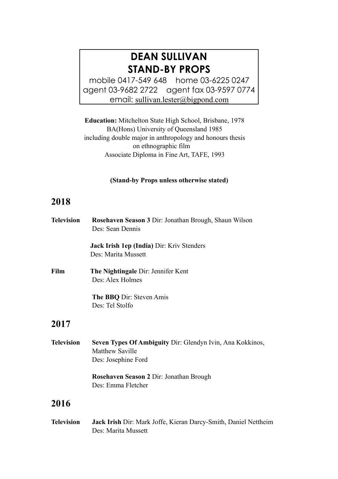# **DEAN SULLIVAN STAND-BY PROPS**

mobile 0417-549 648 home 03-6225 0247 agent 03-9682 2722 agent fax 03-9597 0774 email: [sullivan.lester@bigpond.com](mailto:sullivan.lester@bigpond.com)

**Education:** Mitchelton State High School, Brisbane, 1978 BA(Hons) University of Queensland 1985 including double major in anthropology and honours thesis on ethnographic film Associate Diploma in Fine Art, TAFE, 1993

#### **(Stand-by Props unless otherwise stated)**

# **2018**

| <b>Television</b> | Rosehaven Season 3 Dir: Jonathan Brough, Shaun Wilson<br>Des: Sean Dennis                           |
|-------------------|-----------------------------------------------------------------------------------------------------|
|                   | Jack Irish 1ep (India) Dir: Kriv Stenders<br>Des: Marita Mussett                                    |
| Film              | The Nightingale Dir: Jennifer Kent<br>Des: Alex Holmes                                              |
|                   | The BBQ Dir: Steven Amis<br>Des: Tel Stolfo                                                         |
| 2017              |                                                                                                     |
| <b>Television</b> | Seven Types Of Ambiguity Dir: Glendyn Ivin, Ana Kokkinos,<br>Matthew Saville<br>Des: Josephine Ford |
|                   | Rosehaven Season 2 Dir: Jonathan Brough<br>Des: Emma Fletcher                                       |
| 2016              |                                                                                                     |
| <b>Television</b> | Jack Irish Dir: Mark Joffe, Kieran Darcy-Smith, Daniel Nettheim                                     |

Des: Marita Mussett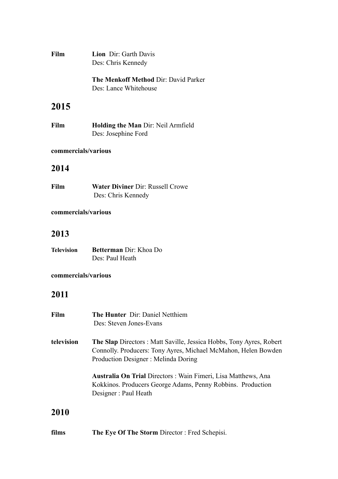| <b>Film</b> | <b>Lion</b> Dir: Garth Davis<br>Des: Chris Kennedy                   |
|-------------|----------------------------------------------------------------------|
|             | <b>The Menkoff Method Dir: David Parker</b><br>Des: Lance Whitehouse |

# **2015**

| Film | <b>Holding the Man Dir: Neil Armfield</b> |
|------|-------------------------------------------|
|      | Des: Josephine Ford                       |

### **commercials/various**

## **2014**

**Film Water Diviner Dir: Russell Crowe** Des: Chris Kennedy

### **commercials/various**

# **2013**

| <b>Television</b> | <b>Betterman</b> Dir: Khoa Do |
|-------------------|-------------------------------|
|                   | Des: Paul Heath               |

### **commercials/various**

# **2011**

| Film       | The Hunter Dir: Daniel Netthiem<br>Des: Steven Jones-Evans                                                                                                                          |
|------------|-------------------------------------------------------------------------------------------------------------------------------------------------------------------------------------|
| television | <b>The Slap</b> Directors: Matt Saville, Jessica Hobbs, Tony Ayres, Robert<br>Connolly. Producers: Tony Ayres, Michael McMahon, Helen Bowden<br>Production Designer: Melinda Doring |
|            | <b>Australia On Trial Directors: Wain Fimeri, Lisa Matthews, Ana</b><br>Kokkinos. Producers George Adams, Penny Robbins. Production<br>Designer: Paul Heath                         |
| 2010       |                                                                                                                                                                                     |

**films The Eye Of The Storm** Director : Fred Schepisi.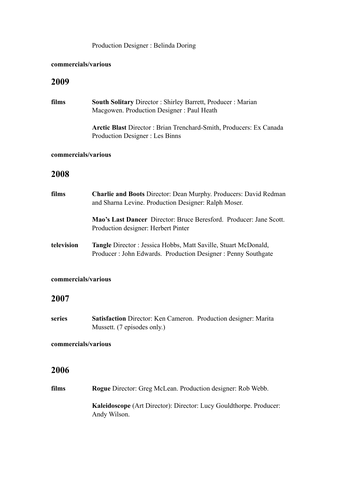### Production Designer : Belinda Doring

#### **commercials/various**

### **2009**

| films               | <b>South Solitary Director: Shirley Barrett, Producer: Marian</b><br>Macgowen. Production Designer: Paul Heath                        |
|---------------------|---------------------------------------------------------------------------------------------------------------------------------------|
|                     | <b>Arctic Blast</b> Director: Brian Trenchard-Smith, Producers: Ex Canada<br>Production Designer : Les Binns                          |
| commercials/various |                                                                                                                                       |
| 2008                |                                                                                                                                       |
| films               | <b>Charlie and Boots Director: Dean Murphy. Producers: David Redman</b><br>and Sharna Levine. Production Designer: Ralph Moser.       |
|                     | Mao's Last Dancer Director: Bruce Beresford. Producer: Jane Scott.<br>Production designer: Herbert Pinter                             |
| television          | <b>Tangle Director: Jessica Hobbs, Matt Saville, Stuart McDonald,</b><br>Producer: John Edwards. Production Designer: Penny Southgate |

### **commercials/various**

### **2007**

**series Satisfaction** Director: Ken Cameron. Production designer: Marita Mussett. (7 episodes only.)

#### **commercials/various**

### **2006**

**films Rogue** Director: Greg McLean. Production designer: Rob Webb. **Kaleidoscope** (Art Director): Director: Lucy Gouldthorpe. Producer: Andy Wilson.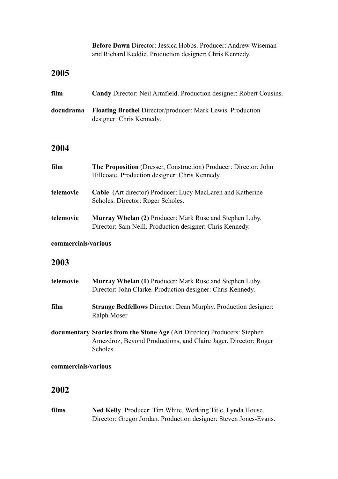**Before Dawn** Director: Jessica Hobbs. Producer: Andrew Wiseman and Richard Keddie. Production designer: Chris Kennedy.

## **2005**

| film | <b>Candy Director: Neil Armfield. Production designer: Robert Cousins.</b>                              |
|------|---------------------------------------------------------------------------------------------------------|
|      | <b>docudrama</b> Floating Brothel Director/producer: Mark Lewis. Production<br>designer: Chris Kennedy. |

## **2004**

| film      | <b>The Proposition</b> (Dresser, Construction) Producer: Director: John<br>Hillcoate. Production designer: Chris Kennedy. |
|-----------|---------------------------------------------------------------------------------------------------------------------------|
| telemovie | <b>Cable</b> (Art director) Producer: Lucy MacLaren and Katherine<br>Scholes. Director: Roger Scholes.                    |
| telemovie | Murray Whelan (2) Producer: Mark Ruse and Stephen Luby.<br>Director: Sam Neill. Production designer: Chris Kennedy.       |

### **commercials/various**

## **2003**

| telemovie | <b>Murray Whelan (1) Producer: Mark Ruse and Stephen Luby.</b><br>Director: John Clarke. Production designer: Chris Kennedy.                                   |
|-----------|----------------------------------------------------------------------------------------------------------------------------------------------------------------|
| film      | <b>Strange Bedfellows Director: Dean Murphy. Production designer:</b><br>Ralph Moser                                                                           |
|           | <b>documentary Stories from the Stone Age (Art Director) Producers: Stephen</b><br>Amezdroz, Beyond Productions, and Claire Jager. Director: Roger<br>Scholes. |

#### **commercials/various**

# **2002**

**films Ned Kelly** Producer: Tim White, Working Title, Lynda House. Director: Gregor Jordan. Production designer: Steven Jones-Evans.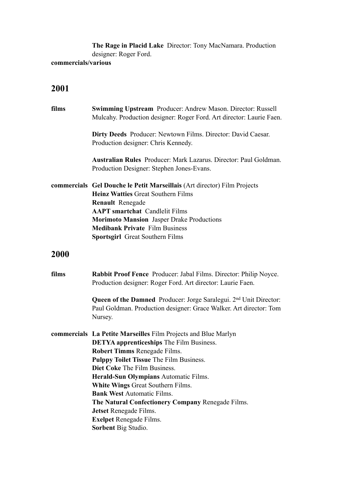**The Rage in Placid Lake** Director: Tony MacNamara. Production designer: Roger Ford.

#### **commercials/various**

# **2001**

| films | <b>Swimming Upstream</b> Producer: Andrew Mason. Director: Russell<br>Mulcahy. Production designer: Roger Ford. Art director: Laurie Faen.                                                                                                                                                                                       |
|-------|----------------------------------------------------------------------------------------------------------------------------------------------------------------------------------------------------------------------------------------------------------------------------------------------------------------------------------|
|       | <b>Dirty Deeds</b> Producer: Newtown Films. Director: David Caesar.<br>Production designer: Chris Kennedy.                                                                                                                                                                                                                       |
|       | Australian Rules Producer: Mark Lazarus. Director: Paul Goldman.<br>Production Designer: Stephen Jones-Evans.                                                                                                                                                                                                                    |
|       | commercials Gel Douche le Petit Marseillais (Art director) Film Projects<br><b>Heinz Watties Great Southern Films</b><br><b>Renault</b> Renegade<br><b>AAPT</b> smartchat Candlelit Films<br><b>Morimoto Mansion</b> Jasper Drake Productions<br><b>Medibank Private</b> Film Business<br><b>Sportsgirl</b> Great Southern Films |
| 2000  |                                                                                                                                                                                                                                                                                                                                  |
|       |                                                                                                                                                                                                                                                                                                                                  |
| films | <b>Rabbit Proof Fence</b> Producer: Jabal Films. Director: Philip Noyce.<br>Production designer: Roger Ford. Art director: Laurie Faen.                                                                                                                                                                                          |
|       | <b>Queen of the Damned</b> Producer: Jorge Saralegui. 2 <sup>nd</sup> Unit Director:<br>Paul Goldman. Production designer: Grace Walker. Art director: Tom<br>Nursey.                                                                                                                                                            |
|       | commercials La Petite Marseilles Film Projects and Blue Marlyn                                                                                                                                                                                                                                                                   |
|       | <b>DETYA</b> apprenticeships The Film Business.                                                                                                                                                                                                                                                                                  |
|       | Robert Timms Renegade Films.                                                                                                                                                                                                                                                                                                     |
|       | Pulppy Toilet Tissue The Film Business.                                                                                                                                                                                                                                                                                          |
|       | <b>Diet Coke The Film Business.</b>                                                                                                                                                                                                                                                                                              |
|       | Herald-Sun Olympians Automatic Films.                                                                                                                                                                                                                                                                                            |
|       | <b>White Wings Great Southern Films.</b>                                                                                                                                                                                                                                                                                         |
|       | <b>Bank West Automatic Films.</b>                                                                                                                                                                                                                                                                                                |
|       | The Natural Confectionery Company Renegade Films.                                                                                                                                                                                                                                                                                |
|       | Jetset Renegade Films.<br><b>Exelpet Renegade Films.</b>                                                                                                                                                                                                                                                                         |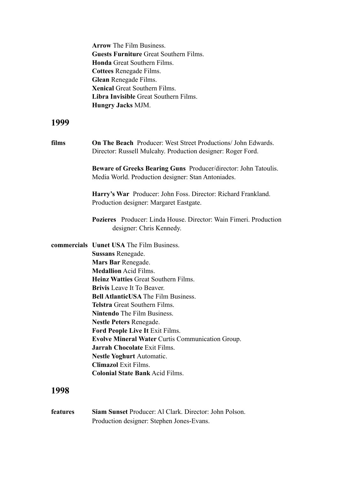|          | <b>Arrow</b> The Film Business.<br><b>Guests Furniture Great Southern Films.</b><br><b>Honda</b> Great Southern Films.<br><b>Cottees Renegade Films.</b><br>Glean Renegade Films.<br><b>Xenical Great Southern Films.</b><br>Libra Invisible Great Southern Films.<br><b>Hungry Jacks MJM.</b>                                                                                                                                                                                                                                                                                                                         |
|----------|------------------------------------------------------------------------------------------------------------------------------------------------------------------------------------------------------------------------------------------------------------------------------------------------------------------------------------------------------------------------------------------------------------------------------------------------------------------------------------------------------------------------------------------------------------------------------------------------------------------------|
| 1999     |                                                                                                                                                                                                                                                                                                                                                                                                                                                                                                                                                                                                                        |
| films    | <b>On The Beach</b> Producer: West Street Productions/ John Edwards.<br>Director: Russell Mulcahy. Production designer: Roger Ford.                                                                                                                                                                                                                                                                                                                                                                                                                                                                                    |
|          | Beware of Greeks Bearing Guns Producer/director: John Tatoulis.<br>Media World. Production designer: Stan Antoniades.                                                                                                                                                                                                                                                                                                                                                                                                                                                                                                  |
|          | Harry's War Producer: John Foss. Director: Richard Frankland.<br>Production designer: Margaret Eastgate.                                                                                                                                                                                                                                                                                                                                                                                                                                                                                                               |
|          | <b>Pozieres</b> Producer: Linda House, Director: Wain Fimeri, Production<br>designer: Chris Kennedy.                                                                                                                                                                                                                                                                                                                                                                                                                                                                                                                   |
|          | <b>commercials</b> Uunet USA The Film Business.<br><b>Sussans Renegade.</b><br>Mars Bar Renegade.<br><b>Medallion Acid Films.</b><br><b>Heinz Watties Great Southern Films.</b><br><b>Brivis</b> Leave It To Beaver.<br><b>Bell AtlanticUSA</b> The Film Business.<br>Telstra Great Southern Films.<br><b>Nintendo</b> The Film Business.<br><b>Nestle Peters Renegade.</b><br>Ford People Live It Exit Films.<br>Evolve Mineral Water Curtis Communication Group.<br><b>Jarrah Chocolate Exit Films.</b><br><b>Nestle Yoghurt Automatic.</b><br><b>Climazol</b> Exit Films.<br><b>Colonial State Bank Acid Films.</b> |
| 1998     |                                                                                                                                                                                                                                                                                                                                                                                                                                                                                                                                                                                                                        |
| features | Siam Sunset Producer: Al Clark. Director: John Polson.                                                                                                                                                                                                                                                                                                                                                                                                                                                                                                                                                                 |

Production designer: Stephen Jones-Evans.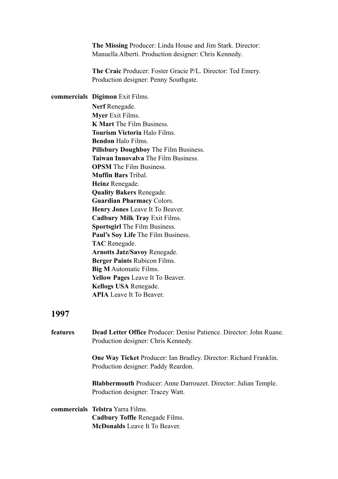**The Missing** Producer: Linda House and Jim Stark. Director: Manuella Alberti. Production designer: Chris Kennedy.

 **The Craic** Producer: Foster Gracie P/L. Director: Ted Emery. Production designer: Penny Southgate.

**commercials Digimon** Exit Films.  **Nerf** Renegade. **Myer** Exit Films. **K Mart** The Film Business. **Tourism Victoria** Halo Films. **Bendon** Halo Films. **Pillsbury Doughboy** The Film Business. **Taiwan Innovalva** The Film Business. **OPSM** The Film Business **Muffin Bars** Tribal. **Heinz** Renegade. **Quality Bakers** Renegade. **Guardian Pharmacy** Colors. **Henry Jones** Leave It To Beaver. **Cadbury Milk Tray** Exit Films. **Sportsgirl** The Film Business. **Paul's Soy Life** The Film Business. **TAC** Renegade. **Arnotts Jatz/Savoy** Renegade. **Berger Paints** Rubicon Films. **Big M** Automatic Films. **Yellow Pages** Leave It To Beaver. **Kellogs USA** Renegade. **APIA** Leave It To Beaver.

### **1997**

**features Dead Letter Office** Producer: Denise Patience. Director: John Ruane. Production designer: Chris Kennedy.  **One Way Ticket** Producer: Ian Bradley. Director: Richard Franklin. Production designer: Paddy Reardon. **Blabbermouth** Producer: Anne Darrouzet. Director: Julian Temple. Production designer: Tracey Watt. **commercials Telstra** Yarra Films. **Cadbury Toffle** Renegade Films.

**McDonalds** Leave It To Beaver.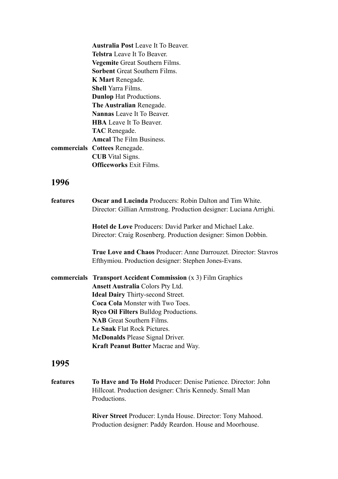| <b>Australia Post</b> Leave It To Beaver. |
|-------------------------------------------|
| <b>Telstra</b> Leave It To Beaver.        |
| <b>Vegemite</b> Great Southern Films.     |
| <b>Sorbent</b> Great Southern Films.      |
| <b>K Mart Renegade.</b>                   |
| <b>Shell Yarra Films.</b>                 |
| <b>Dunlop</b> Hat Productions.            |
| The Australian Renegade.                  |
| <b>Nannas</b> Leave It To Beaver.         |
| <b>HBA</b> Leave It To Beaver.            |
| <b>TAC</b> Renegade.                      |
| <b>Amcal The Film Business</b>            |
| commercials Cottees Renegade.             |
| <b>CUB</b> Vital Signs.                   |
| <b>Officeworks Exit Films.</b>            |
|                                           |
|                                           |

| features | <b>Oscar and Lucinda Producers: Robin Dalton and Tim White.</b>                                                                 |
|----------|---------------------------------------------------------------------------------------------------------------------------------|
|          | Director: Gillian Armstrong. Production designer: Luciana Arrighi.                                                              |
|          | <b>Hotel de Love Producers: David Parker and Michael Lake.</b><br>Director: Craig Rosenberg. Production designer: Simon Dobbin. |
|          | <b>True Love and Chaos Producer: Anne Darrouzet. Director: Stavros</b>                                                          |
|          | Efthymiou. Production designer: Stephen Jones-Evans.                                                                            |
|          | <b>commercials Transport Accident Commission</b> (x 3) Film Graphics                                                            |
|          | <b>Ansett Australia Colors Pty Ltd.</b>                                                                                         |
|          | <b>Ideal Dairy Thirty-second Street.</b>                                                                                        |
|          | <b>Coca Cola Monster with Two Toes.</b>                                                                                         |
|          | <b>Ryco Oil Filters Bulldog Productions.</b>                                                                                    |
|          | <b>NAB</b> Great Southern Films.                                                                                                |
|          | Le Snak Flat Rock Pictures.                                                                                                     |
|          | <b>McDonalds</b> Please Signal Driver.                                                                                          |
|          | <b>Kraft Peanut Butter Macrae and Way.</b>                                                                                      |
| 1995     |                                                                                                                                 |

**features To Have and To Hold** Producer: Denise Patience. Director: John Hillcoat. Production designer: Chris Kennedy. Small Man Productions.

> **River Street** Producer: Lynda House. Director: Tony Mahood. Production designer: Paddy Reardon. House and Moorhouse.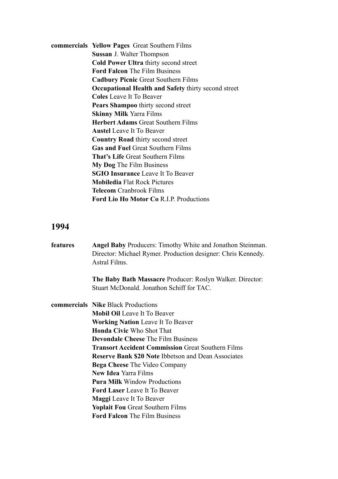**commercials Yellow Pages** Great Southern Films  **Sussan** J. Walter Thompson  **Cold Power Ultra** thirty second street  **Ford Falcon** The Film Business  **Cadbury Picnic** Great Southern Films  **Occupational Health and Safety** thirty second street **Coles** Leave It To Beaver  **Pears Shampoo** thirty second street  **Skinny Milk** Yarra Films  **Herbert Adams** Great Southern Films  **Austel** Leave It To Beaver  **Country Road** thirty second street  **Gas and Fuel** Great Southern Films  **That's Life** Great Southern Films  **My Dog** The Film Business **SGIO Insurance** Leave It To Beaver **Mobiledia** Flat Rock Pictures **Telecom** Cranbrook Films **Ford Lio Ho Motor Co** R.I.P. Productions

### **1994**

| features | <b>Angel Baby Producers: Timothy White and Jonathon Steinman.</b> |
|----------|-------------------------------------------------------------------|
|          | Director: Michael Rymer. Production designer: Chris Kennedy.      |
|          | Astral Films.                                                     |
|          | <b>The Baby Bath Massacre Producer: Roslyn Walker. Director:</b>  |
|          | Stuart McDonald. Jonathon Schiff for TAC.                         |
|          | <b>commercials Nike Black Productions</b>                         |
|          | <b>Mobil Oil</b> Leave It To Beaver                               |
|          | <b>Working Nation</b> Leave It To Beaver                          |
|          | <b>Honda Civic Who Shot That</b>                                  |
|          | <b>Devondale Cheese</b> The Film Business                         |
|          | <b>Transort Accident Commission Great Southern Films</b>          |
|          | <b>Reserve Bank \$20 Note Ibbetson and Dean Associates</b>        |
|          | <b>Bega Cheese</b> The Video Company                              |
|          | <b>New Idea Yarra Films</b>                                       |
|          | <b>Pura Milk Window Productions</b>                               |
|          | <b>Ford Laser</b> Leave It To Beaver                              |
|          | <b>Maggi</b> Leave It To Beaver                                   |
|          | <b>Yoplait Fou Great Southern Films</b>                           |
|          | <b>Ford Falcon</b> The Film Business                              |
|          |                                                                   |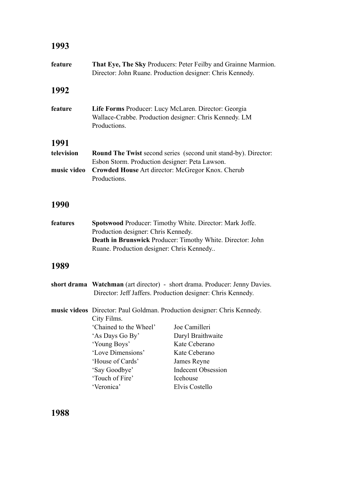### **1993**

| feature     | That Eye, The Sky Producers: Peter Feilby and Grainne Marmion.<br>Director: John Ruane. Production designer: Chris Kennedy.               |
|-------------|-------------------------------------------------------------------------------------------------------------------------------------------|
| 1992        |                                                                                                                                           |
| feature     | Life Forms Producer: Lucy McLaren. Director: Georgia<br>Wallace-Crabbe. Production designer: Chris Kennedy. LM<br>Productions.            |
| 1991        |                                                                                                                                           |
| television  | <b>Round The Twist second series</b> (second unit stand-by). Director:<br>Esbon Storm. Production designer: Peta Lawson.                  |
| music video | Crowded House Art director: McGregor Knox. Cherub<br>Productions.                                                                         |
| 1990        |                                                                                                                                           |
| features    | Spotswood Producer: Timothy White. Director: Mark Joffe.<br>Production designer: Chris Kennedy.                                           |
|             | Death in Brunswick Producer: Timothy White. Director: John<br>Ruane. Production designer: Chris Kennedy                                   |
| 1989        |                                                                                                                                           |
|             | short drama Watchman (art director) - short drama. Producer: Jenny Davies.<br>Director: Jeff Jaffers. Production designer: Chris Kennedy. |
|             | music videos Director: Paul Goldman. Production designer: Chris Kennedy.<br>City Films.                                                   |
|             | 'Chained to the Wheel'<br>Joe Camilleri                                                                                                   |

 'As Days Go By' Daryl Braithwaite 'Young Boys' Kate Ceberano<br>'Love Dimensions' Kate Ceberano 'Love Dimensions' Kate Ceberan<br>'House of Cards' James Reyne 'House of Cards' 'Say Goodbye' Indecent Obsession 'Touch of Fire' Icehouse<br>'Veronica' Elvis Cos Elvis Costello